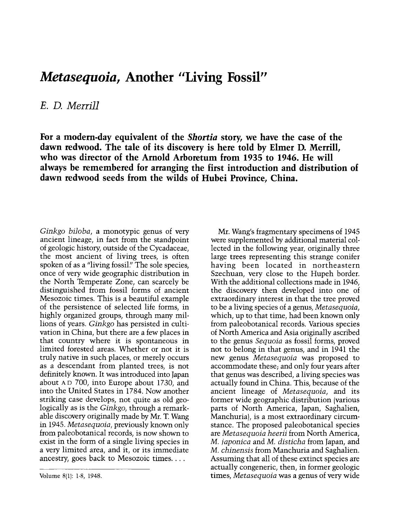## Metasequoia, Another "Living Fossil"

E. D. Merrill

For a modern-day equivalent of the Shortia story, we have the case of the dawn redwood. The tale of its discovery is here told by Elmer D. Merrill, who was director of the Arnold Arboretum from 1935 to 1946. He will always be remembered for arranging the first introduction and distribution of dawn redwood seeds from the wilds of Hubei Province, China.

Ginkgo biloba, a monotypic genus of very ancient lineage, in fact from the standpoint of geologic history, outside of the Cycadaceae, the most ancient of living trees, is often spoken of as a "living fossil." The sole species, once of very wide geographic distribution in the North Temperate Zone, can scarcely be distinguished from fossil forms of ancient Mesozoic times. This is a beautiful example of the persistence of selected life forms, in highly organized groups, through many millions of years. Ginkgo has persisted in cultivation in China, but there are a few places in that country where it is spontaneous in limited forested areas. Whether or not it is truly native in such places, or merely occurs as a descendant from planted trees, is not definitely known. It was introduced into Japan about AD 700, into Europe about 1730, and into the United States in 1784. Now another striking case develops, not quite as old geologically as is the Ginkgo, through a remarkable discovery originally made by Mr. T. Wang in 1945. Metasequoia, previously known only from paleobotanical records, is now shown to exist in the form of a single living species in a very limited area, and it, or its immediate ancestry, goes back to Mesozoic times....

Mr. Wang's fragmentary specimens of 1945 were supplemented by additional material collected in the following year, originally three large trees representing this strange conifer having been located in northeastern Szechuan, very close to the Hupeh border. With the additional collections made in 1946, the discovery then developed into one of extraordinary interest in that the tree proved to be a living species of a genus, Metasequoia, which, up to that time, had been known only from paleobotanical records. Various species of North America and Asia originally ascribed to the genus Sequoia as fossil forms, proved not to belong in that genus, and in 1941 the new genus Metasequoia was proposed to accommodate these; and only four years after that genus was described, a living species was actually found in China. This, because of the ancient lineage of Metasequoia, and its former wide geographic distribution (various parts of North America, Japan, Saghalien, Manchuria), is a most extraordinary circumstance. The proposed paleobotanical species are Metasequoia heerii from North America, M. japonica and M. disticha from Japan, and M. chinensis from Manchuria and Saghalien. Assuming that all of these extinct species are actually congeneric, then, in former geologic times, Metasequoia was a genus of very wide

Volume 8(1): 1-8, 1948.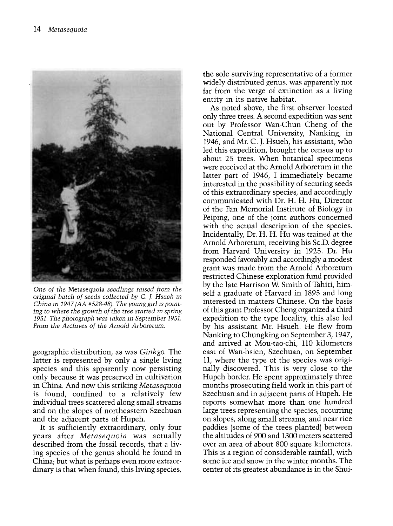

One of the Metasequoia seedlings raised from the original batch of seeds collected by C. J. Hsueh in China in 1947 (AA #528-48). The young girl is pointing to where the growth of the tree started in spring 1951. The photograph was taken in September 1951. From the Archives of the Arnold Arboretum.

geographic distribution, as was Ginkgo. The latter is represented by only a single living species and this apparently now persisting only because it was preserved in cultivation in China. And now this striking Metasequoia is found, confined to a relatively few individual trees scattered along small streams and on the slopes of northeastern Szechuan and the adjacent parts of Hupeh.

It is sufficiently extraordinary, only four years after Metasequoia was actually described from the fossil records, that a living species of the genus should be found in China; but what is perhaps even more extraordinary is that when found, this living species,

the sole surviving representative of a former widely distributed genus, was apparently not far from the verge of extinction as a living entity in its native habitat.

As noted above, the first observer located only three trees. A second expedition was sent out by Professor Wan-Chun Cheng of the National Central University, Nanking, in 1946, and Mr. C. J. Hsueh, his assistant, who led this expedition, brought the census up to about 25 trees. When botanical specimens were received at the Arnold Arboretum in the latter part of 1946, I immediately became interested in the possibility of securing seeds of this extraordinary species, and accordingly communicated with Dr. H. H. Hu, Director of the Fan Memorial Institute of Biology in Peiping, one of the joint authors concerned with the actual description of the species. Incidentally, Dr. H. H. Hu was trained at the Arnold Arboretum, receiving his Sc.D. degree from Harvard University in 1925. Dr. Hu responded favorably and accordingly a modest grant was made from the Arnold Arboretum restricted Chinese exploration fund provided by the late Harrison W. Smith of Tahiti, himself a graduate of Harvard in 1895 and long interested in matters Chinese. On the basis of this grant Professor Cheng organized a third expedition to the type locality, this also led by his assistant Mr. Hsueh. He flew from Nanking to Chungking on September 3, 1947, and arrived at Mou-tao-chi, 110 kilometers east of Wan-hsien, Szechuan, on September 11, where the type of the species was originally discovered. This is very close to the Hupeh border. He spent approximately three months prosecuting field work in this part of Szechuan and in adjacent parts of Hupeh. He reports somewhat more than one hundred large trees representing the species, occurring on slopes, along small streams, and near rice paddies (some of the trees planted) between the altitudes of 900 and 1300 meters scattered over an area of about 800 square kilometers. This is a region of considerable rainfall, with some ice and snow in the winter months. The center of its greatest abundance is in the Shui-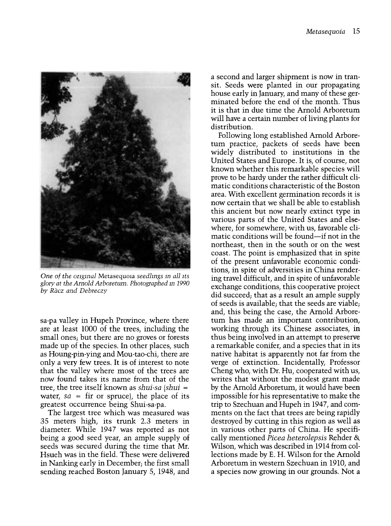

One of the original Metasequoia seedlings m all its glory at the Arnold Arboretum. Photographed in 1990 by Racz and Debreczy

sa-pa valley in Hupeh Province, where there are at least 1000 of the trees, including the small ones; but there are no groves or forests made up of the species. In other places, such as Houng-pin-ying and Mou-tao-chi, there are only a very few trees. It is of interest to note that the valley where most of the trees are now found takes its name from that of the tree, the tree itself known as shui-sa (shui = water,  $sa = \text{fir}$  or spruce), the place of its greatest occurrence being Shui-sa-pa.

The largest tree which was measured was 35 meters high, its trunk 2.3 meters in diameter. While 1947 was reported as not being a good seed year, an ample supply of seeds was secured during the time that Mr. Hsueh was in the field. These were delivered in Nanking early in December; the first small sending reached Boston January 5, 1948, and

a second and larger shipment is now in transit. Seeds were planted in our propagating house early in January, and many of these germinated before the end of the month. Thus it is that in due time the Arnold Arboretum will have a certain number of living plants for distribution.

Following long established Arnold Arboretum practice, packets of seeds have been widely distributed to institutions in the United States and Europe. It is, of course, not known whether this remarkable species will prove to be hardy under the rather difficult climatic conditions characteristic of the Boston area. With excellent germination records it is now certain that we shall be able to establish this ancient but now nearly extinct type in various parts of the United States and elsewhere, for somewhere, with us, favorable climatic conditions will be found—if not in the northeast, then in the south or on the west coast. The point is emphasized that in spite of the present unfavorable economic conditions, in spite of adversities in China rendering travel difficult, and in spite of unfavorable exchange conditions, this cooperative project did succeed; that as a result an ample supply of seeds is available; that the seeds are viable; and, this being the case, the Arnold Arboretum has made an important contribution, working through its Chinese associates, in thus being involved in an attempt to preserve a remarkable conifer, and a species that in its native habitat is apparently not far from the verge of extinction. Incidentally, Professor Cheng who, with Dr. Hu, cooperated with us, writes that without the modest grant made by the Arnold Arboretum, it would have been impossible for his representative to make the trip to Szechuan and Hupeh in 1947, and comments on the fact that trees are being rapidly destroyed by cutting in this region as well as in various other parts of China. He specifically mentioned Picea heterolepsis Rehder & Wilson, which was described in 1914 from collections made by E. H. Wilson for the Arnold Arboretum in western Szechuan in 1910, and a species now growing in our grounds. Not a